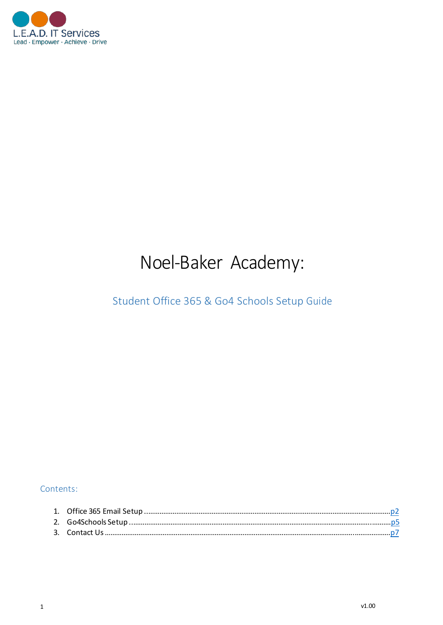

# Noel-Baker Academy:

## Student Office 365 & Go4 Schools Setup Guide

#### Contents: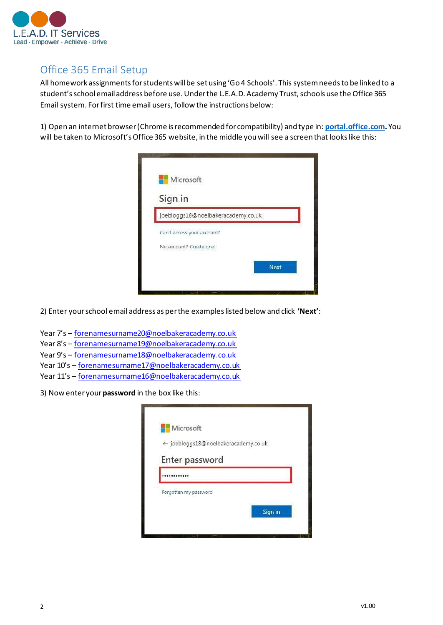

## Office 365 Email Setup

All homework assignments for students will be set using 'Go 4 Schools'. This system needs to be linked to a student's school email address before use. Under the L.E.A.D. Academy Trust, schools use the Office 365 Email system. Forfirst time email users, follow the instructions below:

1) Open an internet browser(Chrome is recommended for compatibility) and type in: **[portal.office.com](http://portal.office.com/).** You will be taken to Microsoft's Office 365 website, in the middle you will see a screen that looks like this:



2) Enter yourschool email address as per the examples listed below and click **'Next'**:

- Year 7's [forenamesurname20@noelbakeracademy.co.uk](mailto:forenamesurname20@noelbakeracademy.co.uk)
- Year 8's [forenamesurname19@noelbakeracademy.co.uk](mailto:forenamesurname19@noelbakeracademy.co.uk)
- Year 9's [forenamesurname18@noelbakeracademy.co.uk](mailto:forenamesurname18@noelbakeracademy.co.uk)
- Year 10's [forenamesurname17@noelbakeracademy.co.uk](mailto:forenamesurname17@noelbakeracademy.co.uk)
- Year 11's [forenamesurname16@noelbakeracademy.co.uk](mailto:forenamesurname16@noelbakeracademy.co.uk)
- 3) Now enter your**password** in the box like this:

| Microsoft                            |         |
|--------------------------------------|---------|
| ← joebloggs18@noelbakeracademy.co.uk |         |
| Enter password                       |         |
|                                      |         |
| Forgotten my password                |         |
|                                      | Sign in |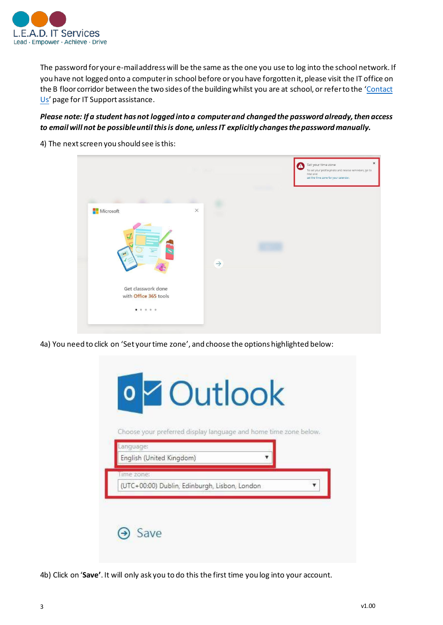

The password for youre-mail address will be the same as the one you use to log into the school network. If you have not logged onto a computerin school before or you have forgotten it, please visit the IT office on the B floor corridor between the two sides of the building whilst you are at school, or refer to the 'Contact Us' page for IT Support assistance.

#### *Please note: If a student has not logged into a computerand changed the password already,then access to email will not be possible untilthisis done, unlessIT explicitly changesthepassword manually.*

4) The next screen you should see is this:



4a) You need to click on 'Set your time zone', and choose the options highlighted below:

|                                       | Choose your preferred display language and home time zone below. |  |  |
|---------------------------------------|------------------------------------------------------------------|--|--|
| Language:<br>English (United Kingdom) |                                                                  |  |  |
| ime zone:                             |                                                                  |  |  |
|                                       | (UTC+00:00) Dublin, Edinburgh, Lisbon, London                    |  |  |

4b) Click on '**Save'**. It will only ask you to do this the first time you log into your account.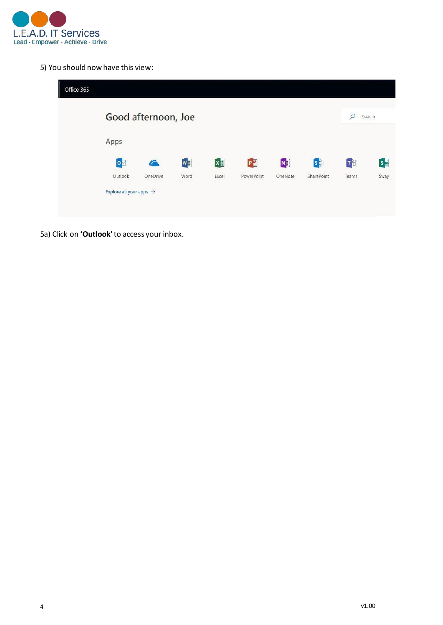

5) You should now have this view:

| Office 365 |                                     |          |      |            |            |         |             |       |                        |
|------------|-------------------------------------|----------|------|------------|------------|---------|-------------|-------|------------------------|
|            | Good afternoon, Joe                 |          |      |            |            |         | Search<br>L |       |                        |
|            | Apps                                |          |      |            |            |         |             |       |                        |
|            | $\overline{\bullet}$                |          | w    | $x \equiv$ | $P_1^2$    | N       | $\ket{s}$   | T₿    | $s \frac{\sqrt{2}}{2}$ |
|            | Outlook                             | OneDrive | Word | Excel      | PowerPoint | OneNote | SharePoint  | Teams | Sway                   |
|            | Explore all your apps $\rightarrow$ |          |      |            |            |         |             |       |                        |
|            |                                     |          |      |            |            |         |             |       |                        |

5a) Click on **'Outlook'**to access your inbox.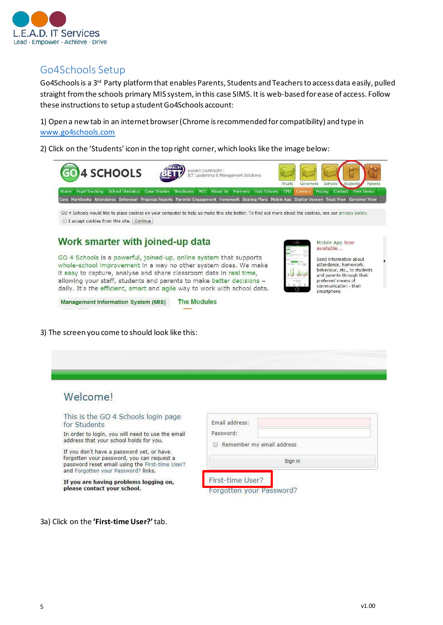

## Go4Schools Setup

Go4Schools is a 3<sup>rd</sup> Party platform that enables Parents, Students and Teachers to access data easily, pulled straight fromthe schools primary MIS system, in this case SIMS. It is web-based for ease of access. Follow these instructions to setup a student Go4Schools account:

1) Open a new tab in an internet browser(Chrome isrecommended for compatibility) and type in [www.go4schools.com](http://www.go4schools.com/)

2) Click on the 'Students' icon in the top right corner, which looks like the image below:



GO 4 Schools would like to place cookies on your computer to help us make this site better. To find out more about the cookies, see our privacy policy. I accept cookies from this site. Continue

**The Modules** 

#### Work smarter with joined-up data

GO 4 Schools is a powerful, joined-up, online system that supports whole-school improvement in a way no other system does. We make it easy to capture, analyse and share classroom data in real time, allowing your staff, students and parents to make better decisions daily. It's the efficient, smart and agile way to work with school data.

**Management Information System (MIS)** 



Mobile App Now available... Send information about

attendance, homework, behaviour, etc., to students and parents through their preferred means of communication - their smartphone

3) The screen you come to should look like this:

### Welcome!

This is the GO 4 Schools login page for Students

In order to login, you will need to use the email address that your school holds for you.

If you don't have a password yet, or have forgotten your password, you can request a password reset email using the First-time User? and Forgotten your Password? links.

If you are having problems logging on, please contact your school.

| Email address:<br>Password: |         |  |  |  |  |
|-----------------------------|---------|--|--|--|--|
| Remember my email address   |         |  |  |  |  |
|                             | Sign in |  |  |  |  |
| First-time User?            |         |  |  |  |  |
| Forgotten your Password?    |         |  |  |  |  |

3a) Click on the **'First-time User?'**tab.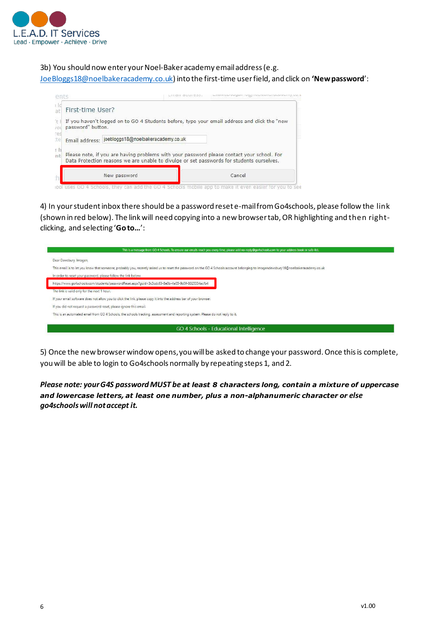

3b) You should now enter your Noel-Bakeracademy email address(e.g.

[JoeBloggs18@noelbakeracademy.co.uk](mailto:JoeBloggs18@noelbakeracademy.co.uk)) into the first-time user field, and click on **'Newpassword**':



4) In your student inbox there should be a password reset e-mail fromGo4schools, please follow the link (shown in red below). The link will need copying into a new browsertab,OR highlighting and then rightclicking, and selecting '**Goto…**':

| This is a message from GO 4 Schools. To ensure our emails reach you every time, please add no-reply@go4schools.com to your address book or safe-list.                              |  |  |  |  |
|------------------------------------------------------------------------------------------------------------------------------------------------------------------------------------|--|--|--|--|
| Dear Dewsbury, Imogen,                                                                                                                                                             |  |  |  |  |
| This email is to let you know that someone, probably you, recently asked us to reset the password on the GO 4 Schools account belonging to imogendewsbury16@noelbakeracademy.co.uk |  |  |  |  |
| In order to reset your password, please follow the link below:                                                                                                                     |  |  |  |  |
| https://www.qo4schools.com/students/passwordReset.aspx?quid=3c3cdc63-8e0b-4a05-9d5f-8025334acfb4                                                                                   |  |  |  |  |
| The link is valid only for the next 1 hour.                                                                                                                                        |  |  |  |  |
| If your email software does not allow you to click the link, please copy it into the address bar of your browser.                                                                  |  |  |  |  |
| If you did not request a password reset, please ignore this email.                                                                                                                 |  |  |  |  |
| This is an automated email from GO 4 Schools, the schools tracking, assessment and reporting system. Please do not reply to it.                                                    |  |  |  |  |
|                                                                                                                                                                                    |  |  |  |  |
| GO 4 Schools - Educational Intelligence                                                                                                                                            |  |  |  |  |

5) Once the new browser window opens, you will be asked to change your password. Once this is complete, you will be able to login to Go4schools normally by repeating steps 1, and 2.

*Please note: yourG4S passwordMUST be at least 8 characters long, contain a mixture of uppercase and lowercase letters, at least one number, plus a non-alphanumeric character or else go4schoolswill notaccept it.*